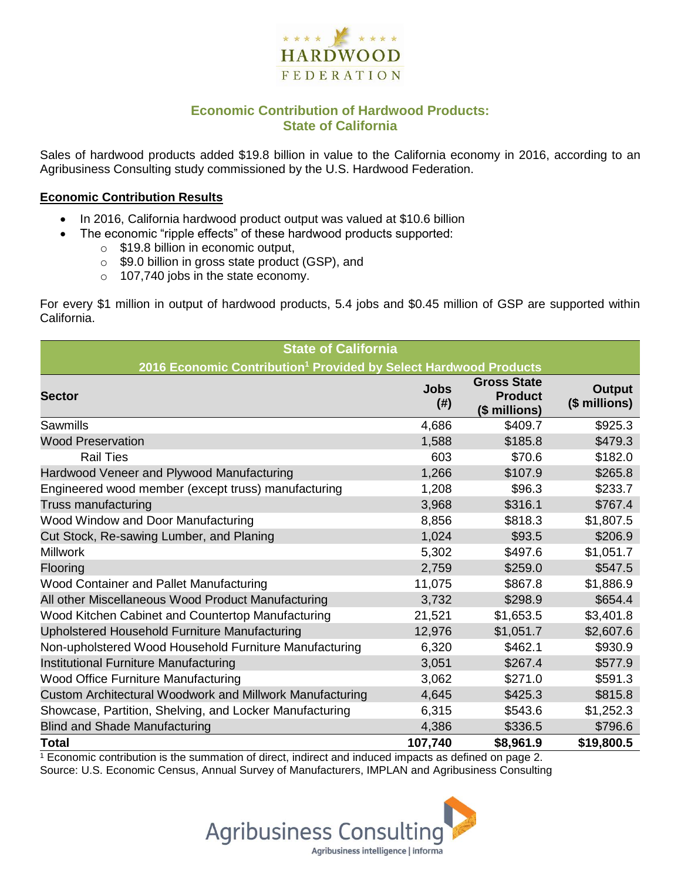

# **Economic Contribution of Hardwood Products: State of California**

Sales of hardwood products added \$19.8 billion in value to the California economy in 2016, according to an Agribusiness Consulting study commissioned by the U.S. Hardwood Federation.

#### **Economic Contribution Results**

- In 2016, California hardwood product output was valued at \$10.6 billion
	- The economic "ripple effects" of these hardwood products supported:
		- o \$19.8 billion in economic output,
		- o \$9.0 billion in gross state product (GSP), and
		- o 107,740 jobs in the state economy.

For every \$1 million in output of hardwood products, 5.4 jobs and \$0.45 million of GSP are supported within California.

| <b>State of California</b>                                                   |                     |                                                       |                                |  |  |  |  |
|------------------------------------------------------------------------------|---------------------|-------------------------------------------------------|--------------------------------|--|--|--|--|
| 2016 Economic Contribution <sup>1</sup> Provided by Select Hardwood Products |                     |                                                       |                                |  |  |  |  |
| <b>Sector</b>                                                                | <b>Jobs</b><br>(# ) | <b>Gross State</b><br><b>Product</b><br>(\$ millions) | <b>Output</b><br>(\$ millions) |  |  |  |  |
| Sawmills                                                                     | 4,686               | \$409.7                                               | \$925.3                        |  |  |  |  |
| <b>Wood Preservation</b>                                                     | 1,588               | \$185.8                                               | \$479.3                        |  |  |  |  |
| <b>Rail Ties</b>                                                             | 603                 | \$70.6                                                | \$182.0                        |  |  |  |  |
| Hardwood Veneer and Plywood Manufacturing                                    | 1,266               | \$107.9                                               | \$265.8                        |  |  |  |  |
| Engineered wood member (except truss) manufacturing                          | 1,208               | \$96.3                                                | \$233.7                        |  |  |  |  |
| Truss manufacturing                                                          | 3,968               | \$316.1                                               | \$767.4                        |  |  |  |  |
| Wood Window and Door Manufacturing                                           | 8,856               | \$818.3                                               | \$1,807.5                      |  |  |  |  |
| Cut Stock, Re-sawing Lumber, and Planing                                     | 1,024               | \$93.5                                                | \$206.9                        |  |  |  |  |
| <b>Millwork</b>                                                              | 5,302               | \$497.6                                               | \$1,051.7                      |  |  |  |  |
| Flooring                                                                     | 2,759               | \$259.0                                               | \$547.5                        |  |  |  |  |
| Wood Container and Pallet Manufacturing                                      | 11,075              | \$867.8                                               | \$1,886.9                      |  |  |  |  |
| All other Miscellaneous Wood Product Manufacturing                           | 3,732               | \$298.9                                               | \$654.4                        |  |  |  |  |
| Wood Kitchen Cabinet and Countertop Manufacturing                            | 21,521              | \$1,653.5                                             | \$3,401.8                      |  |  |  |  |
| Upholstered Household Furniture Manufacturing                                | 12,976              | \$1,051.7                                             | \$2,607.6                      |  |  |  |  |
| Non-upholstered Wood Household Furniture Manufacturing                       | 6,320               | \$462.1                                               | \$930.9                        |  |  |  |  |
| Institutional Furniture Manufacturing                                        | 3,051               | \$267.4                                               | \$577.9                        |  |  |  |  |
| <b>Wood Office Furniture Manufacturing</b>                                   | 3,062               | \$271.0                                               | \$591.3                        |  |  |  |  |
| Custom Architectural Woodwork and Millwork Manufacturing                     | 4,645               | \$425.3                                               | \$815.8                        |  |  |  |  |
| Showcase, Partition, Shelving, and Locker Manufacturing                      | 6,315               | \$543.6                                               | \$1,252.3                      |  |  |  |  |
| <b>Blind and Shade Manufacturing</b>                                         | 4,386               | \$336.5                                               | \$796.6                        |  |  |  |  |
| <b>Total</b>                                                                 | 107,740             | \$8,961.9                                             | \$19,800.5                     |  |  |  |  |

 $1$  Economic contribution is the summation of direct, indirect and induced impacts as defined on page 2. Source: U.S. Economic Census, Annual Survey of Manufacturers, IMPLAN and Agribusiness Consulting